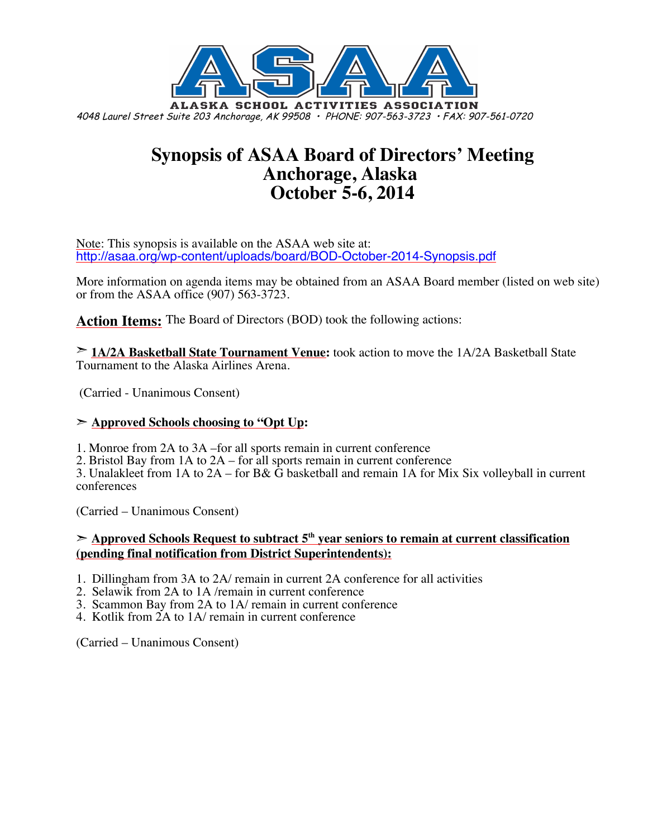

# **Synopsis of ASAA Board of Directors' Meeting Anchorage, Alaska October 5-6, 2014**

Note: This synopsis is available on the ASAA web site at: http://asaa.org/wp-content/uploads/board/BOD-October-2014-Synopsis.pdf

More information on agenda items may be obtained from an ASAA Board member (listed on web site) or from the ASAA office (907) 563-3723.

**Action Items:** The Board of Directors (BOD) took the following actions:

➣ **1A/2A Basketball State Tournament Venue:** took action to move the 1A/2A Basketball State Tournament to the Alaska Airlines Arena.

(Carried - Unanimous Consent)

#### ➣ **Approved Schools choosing to "Opt Up:**

1. Monroe from 2A to 3A –for all sports remain in current conference

2. Bristol Bay from 1A to 2A – for all sports remain in current conference

3. Unalakleet from 1A to 2A – for B& G basketball and remain 1A for Mix Six volleyball in current conferences

(Carried – Unanimous Consent)

➣ **Approved Schools Request to subtract 5th year seniors to remain at current classification (pending final notification from District Superintendents):**

- 1. Dillingham from 3A to 2A/ remain in current 2A conference for all activities
- 2. Selawik from 2A to 1A /remain in current conference
- 3. Scammon Bay from 2A to 1A/ remain in current conference
- 4. Kotlik from 2A to 1A/ remain in current conference

(Carried – Unanimous Consent)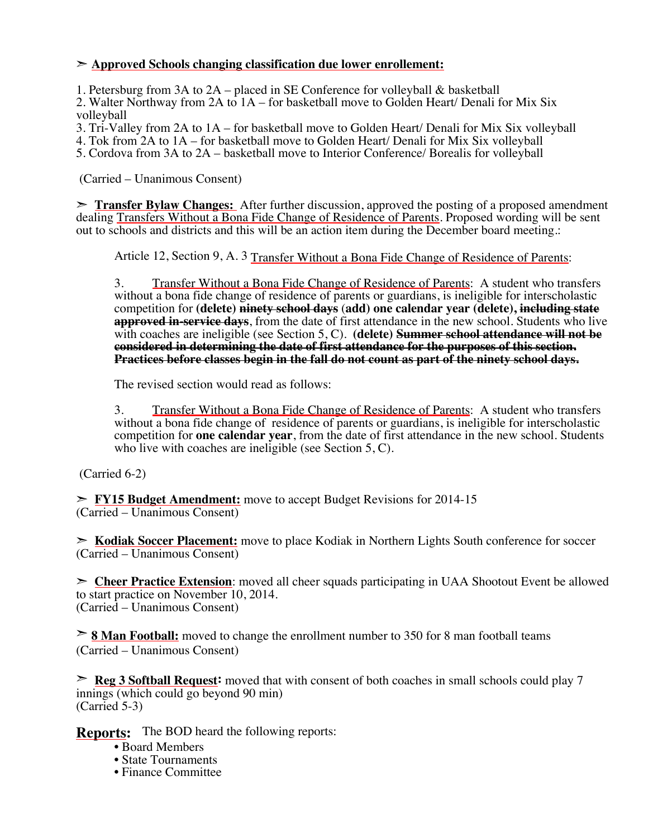#### ➣ **Approved Schools changing classification due lower enrollement:**

1. Petersburg from 3A to 2A – placed in SE Conference for volleyball & basketball

2. Walter Northway from 2A to 1A – for basketball move to Golden Heart/ Denali for Mix Six volleyball

3. Tri-Valley from 2A to 1A – for basketball move to Golden Heart/ Denali for Mix Six volleyball

4. Tok from 2A to 1A – for basketball move to Golden Heart/ Denali for Mix Six volleyball

5. Cordova from 3A to 2A – basketball move to Interior Conference/ Borealis for volleyball

(Carried – Unanimous Consent)

➣ **Transfer Bylaw Changes:** After further discussion, approved the posting of a proposed amendment dealing Transfers Without a Bona Fide Change of Residence of Parents. Proposed wording will be sent out to schools and districts and this will be an action item during the December board meeting.:

Article 12, Section 9, A. 3 Transfer Without a Bona Fide Change of Residence of Parents:

3. Transfer Without a Bona Fide Change of Residence of Parents: A student who transfers without a bona fide change of residence of parents or guardians, is ineligible for interscholastic competition for **(delete) ninety school days** (**add) one calendar year (delete), including state approved in-service days**, from the date of first attendance in the new school. Students who live with coaches are ineligible (see Section 5, C). **(delete)** Summer school attendance will not be **considered in determining the date of first attendance for the purposes of this section. Practices before classes begin in the fall do not count as part of the ninety school days.**

The revised section would read as follows:

3. Transfer Without a Bona Fide Change of Residence of Parents: A student who transfers without a bona fide change of residence of parents or guardians, is ineligible for interscholastic competition for **one calendar year**, from the date of first attendance in the new school. Students who live with coaches are ineligible (see Section 5, C).

(Carried 6-2)

➣ **FY15 Budget Amendment:** move to accept Budget Revisions for 2014-15 (Carried – Unanimous Consent)

➣ **Kodiak Soccer Placement:** move to place Kodiak in Northern Lights South conference for soccer (Carried – Unanimous Consent)

➣ **Cheer Practice Extension**: moved all cheer squads participating in UAA Shootout Event be allowed to start practice on November 10, 2014. (Carried – Unanimous Consent)

➣ **8 Man Football:** moved to change the enrollment number to 350 for 8 man football teams (Carried – Unanimous Consent)

➣ **Reg 3 Softball Request:** moved that with consent of both coaches in small schools could play 7 innings (which could go beyond 90 min) (Carried 5-3)

**Reports:** The BOD heard the following reports:

- Board Members
- State Tournaments
- Finance Committee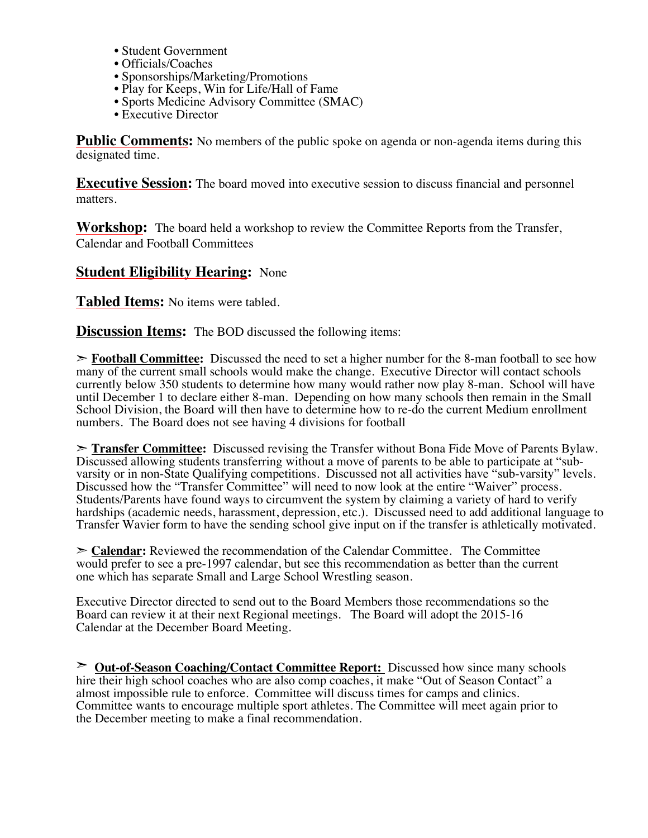- Student Government
- Officials/Coaches
- Sponsorships/Marketing/Promotions
- Play for Keeps, Win for Life/Hall of Fame
- Sports Medicine Advisory Committee (SMAC)
- Executive Director

**Public Comments:** No members of the public spoke on agenda or non-agenda items during this designated time.

**Executive Session:** The board moved into executive session to discuss financial and personnel matters.

**Workshop:** The board held a workshop to review the Committee Reports from the Transfer, Calendar and Football Committees

### **Student Eligibility Hearing:** None

**Tabled Items:** No items were tabled.

**Discussion Items:** The BOD discussed the following items:

➣ **Football Committee:** Discussed the need to set a higher number for the 8-man football to see how many of the current small schools would make the change. Executive Director will contact schools currently below 350 students to determine how many would rather now play 8-man. School will have until December 1 to declare either 8-man. Depending on how many schools then remain in the Small School Division, the Board will then have to determine how to re-do the current Medium enrollment numbers. The Board does not see having 4 divisions for football

➣ **Transfer Committee:** Discussed revising the Transfer without Bona Fide Move of Parents Bylaw. Discussed allowing students transferring without a move of parents to be able to participate at "subvarsity or in non-State Qualifying competitions. Discussed not all activities have "sub-varsity" levels. Discussed how the "Transfer Committee" will need to now look at the entire "Waiver" process. Students/Parents have found ways to circumvent the system by claiming a variety of hard to verify hardships (academic needs, harassment, depression, etc.). Discussed need to add additional language to Transfer Wavier form to have the sending school give input on if the transfer is athletically motivated.

➣ **Calendar:** Reviewed the recommendation of the Calendar Committee. The Committee would prefer to see a pre-1997 calendar, but see this recommendation as better than the current one which has separate Small and Large School Wrestling season.

Executive Director directed to send out to the Board Members those recommendations so the Board can review it at their next Regional meetings. The Board will adopt the 2015-16 Calendar at the December Board Meeting.

➣ **Out-of-Season Coaching/Contact Committee Report:** Discussed how since many schools hire their high school coaches who are also comp coaches, it make "Out of Season Contact" a almost impossible rule to enforce. Committee will discuss times for camps and clinics. Committee wants to encourage multiple sport athletes. The Committee will meet again prior to the December meeting to make a final recommendation.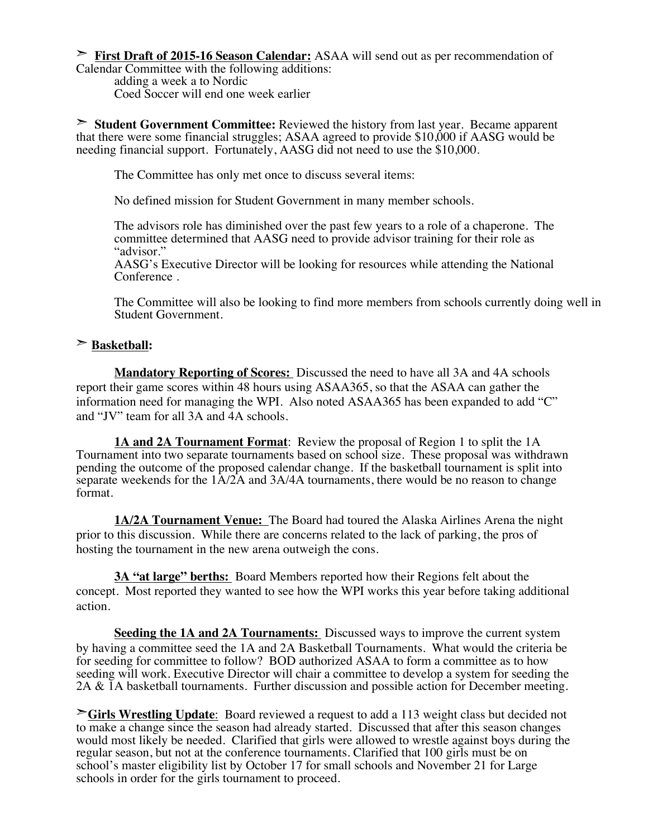➣ **First Draft of 2015-16 Season Calendar:** ASAA will send out as per recommendation of Calendar Committee with the following additions:

adding a week a to Nordic Coed Soccer will end one week earlier

➣ **Student Government Committee:** Reviewed the history from last year. Became apparent that there were some financial struggles; ASAA agreed to provide \$10,000 if AASG would be needing financial support. Fortunately, AASG did not need to use the \$10,000.

The Committee has only met once to discuss several items:

No defined mission for Student Government in many member schools.

The advisors role has diminished over the past few years to a role of a chaperone. The committee determined that AASG need to provide advisor training for their role as "advisor."

AASG's Executive Director will be looking for resources while attending the National Conference .

The Committee will also be looking to find more members from schools currently doing well in Student Government.

#### ➣ **Basketball:**

**Mandatory Reporting of Scores:** Discussed the need to have all 3A and 4A schools report their game scores within 48 hours using ASAA365, so that the ASAA can gather the information need for managing the WPI. Also noted ASAA365 has been expanded to add "C" and "JV" team for all 3A and 4A schools.

**1A and 2A Tournament Format**: Review the proposal of Region 1 to split the 1A Tournament into two separate tournaments based on school size. These proposal was withdrawn pending the outcome of the proposed calendar change. If the basketball tournament is split into separate weekends for the  $1A/2A$  and  $3A/4A$  tournaments, there would be no reason to change format.

**1A/2A Tournament Venue:** The Board had toured the Alaska Airlines Arena the night prior to this discussion. While there are concerns related to the lack of parking, the pros of hosting the tournament in the new arena outweigh the cons.

**3A "at large" berths:** Board Members reported how their Regions felt about the concept. Most reported they wanted to see how the WPI works this year before taking additional action.

**Seeding the 1A and 2A Tournaments:** Discussed ways to improve the current system by having a committee seed the 1A and 2A Basketball Tournaments. What would the criteria be for seeding for committee to follow? BOD authorized ASAA to form a committee as to how seeding will work. Executive Director will chair a committee to develop a system for seeding the 2A & 1A basketball tournaments. Further discussion and possible action for December meeting.

➣**Girls Wrestling Update**: Board reviewed a request to add a 113 weight class but decided not to make a change since the season had already started. Discussed that after this season changes would most likely be needed. Clarified that girls were allowed to wrestle against boys during the regular season, but not at the conference tournaments. Clarified that 100 girls must be on school's master eligibility list by October 17 for small schools and November 21 for Large schools in order for the girls tournament to proceed.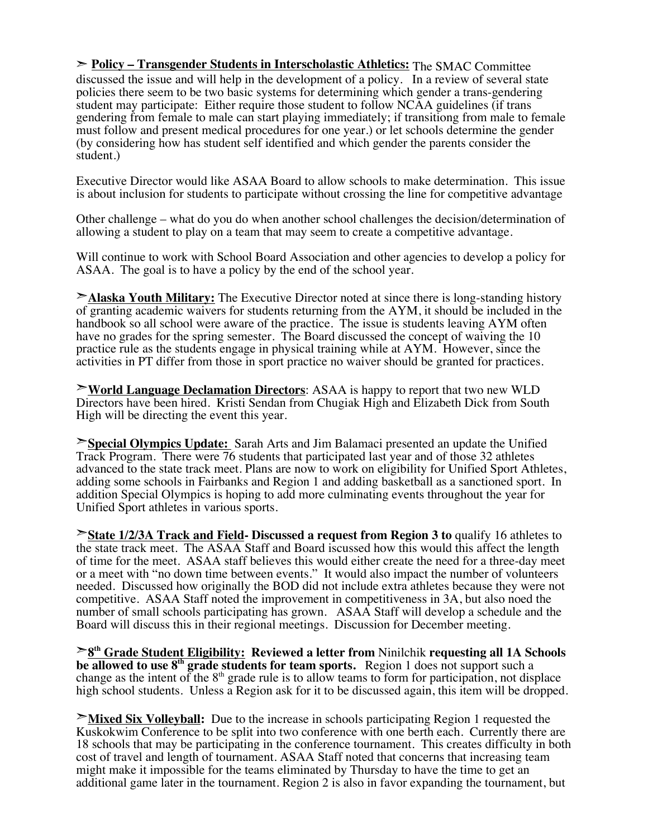➣ **Policy – Transgender Students in Interscholastic Athletics:** The SMAC Committee discussed the issue and will help in the development of a policy. In a review of several state policies there seem to be two basic systems for determining which gender a trans-gendering student may participate: Either require those student to follow NCAA guidelines (if trans gendering from female to male can start playing immediately; if transitiong from male to female must follow and present medical procedures for one year.) or let schools determine the gender (by considering how has student self identified and which gender the parents consider the student.)

Executive Director would like ASAA Board to allow schools to make determination. This issue is about inclusion for students to participate without crossing the line for competitive advantage

Other challenge – what do you do when another school challenges the decision/determination of allowing a student to play on a team that may seem to create a competitive advantage.

Will continue to work with School Board Association and other agencies to develop a policy for ASAA. The goal is to have a policy by the end of the school year.

➣**Alaska Youth Military:** The Executive Director noted at since there is long-standing history of granting academic waivers for students returning from the AYM, it should be included in the handbook so all school were aware of the practice. The issue is students leaving AYM often have no grades for the spring semester. The Board discussed the concept of waiving the 10 practice rule as the students engage in physical training while at AYM. However, since the activities in PT differ from those in sport practice no waiver should be granted for practices.

➣**World Language Declamation Directors**: ASAA is happy to report that two new WLD Directors have been hired. Kristi Sendan from Chugiak High and Elizabeth Dick from South High will be directing the event this year.

➣**Special Olympics Update:** Sarah Arts and Jim Balamaci presented an update the Unified Track Program. There were 76 students that participated last year and of those 32 athletes advanced to the state track meet. Plans are now to work on eligibility for Unified Sport Athletes, adding some schools in Fairbanks and Region 1 and adding basketball as a sanctioned sport. In addition Special Olympics is hoping to add more culminating events throughout the year for Unified Sport athletes in various sports.

➣**State 1/2/3A Track and Field- Discussed a request from Region 3 to** qualify 16 athletes to the state track meet. The ASAA Staff and Board iscussed how this would this affect the length of time for the meet. ASAA staff believes this would either create the need for a three-day meet or a meet with "no down time between events." It would also impact the number of volunteers needed. Discussed how originally the BOD did not include extra athletes because they were not competitive. ASAA Staff noted the improvement in competitiveness in 3A, but also noed the number of small schools participating has grown. ASAA Staff will develop a schedule and the Board will discuss this in their regional meetings. Discussion for December meeting.

➣**8th Grade Student Eligibility: Reviewed a letter from** Ninilchik **requesting all 1A Schools be allowed to use 8th grade students for team sports.** Region 1 does not support such a change as the intent of the  $8<sup>th</sup>$  grade rule is to allow teams to form for participation, not displace high school students. Unless a Region ask for it to be discussed again, this item will be dropped.

➣**Mixed Six Volleyball:** Due to the increase in schools participating Region 1 requested the Kuskokwim Conference to be split into two conference with one berth each. Currently there are 18 schools that may be participating in the conference tournament. This creates difficulty in both cost of travel and length of tournament. ASAA Staff noted that concerns that increasing team might make it impossible for the teams eliminated by Thursday to have the time to get an additional game later in the tournament. Region 2 is also in favor expanding the tournament, but